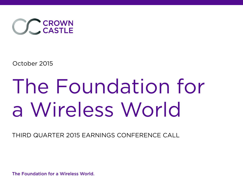

October 2015

# The Foundation for a Wireless World

THIRD QUARTER 2015 EARNINGS CONFERENCE CALL

The Foundation for a Wireless World.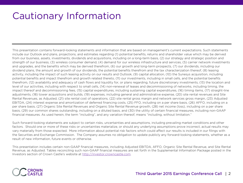#### Cautionary Information

This presentation contains forward-looking statements and information that are based on management's current expectations. Such statements include our Outlook and plans, projections, and estimates regarding (1) potential benefits, returns and shareholder value which may be derived from our business, assets, investments, dividends and acquisitions, including on a long-term basis, (2) our strategy and strategic position and strength of our business, (3) wireless consumer demand, (4) demand for our wireless infrastructure and services, (5) carrier network investments and upgrades, and the benefits which may be derived therefrom, (6) our growth and long-term prospects, (7) our dividends, including our dividend plans, the amount and growth of our dividends, the potential benefits therefrom and the tax characterization thereof, (8) leasing activity, including the impact of such leasing activity on our results and Outlook, (9) capital allocation, (10) the Sunesys acquisition, including potential benefits and impact therefrom and growth related thereto, (11) our investments, including in small cells, and the potential benefits therefrom, (12) availability and adequacy of cash flows and liquidity for, or plans regarding, future discretionary investments, (13) the location and level of our activities, including with respect to small cells, (14) non-renewal of leases and decommissioning of networks, including timing, the impact thereof and decommissioning fees, (15) capital expenditures, including sustaining capital expenditures, (16) timing items, (17) straight-line adjustments, (18) tower acquisitions and builds, (19) expenses, including general and administrative expense, (20) site rental revenues and Site Rental Revenues, as Adjusted, (21) site rental cost of operations, (22) site rental gross margin and network services gross margin, (23) Adjusted EBITDA, (24) interest expense and amortization of deferred financing costs, (25) FFO, including on a per share basis, (26) AFFO, including on a per share basis, (27) Organic Site Rental Revenues and Organic Site Rental Revenue growth, (28) net income (loss), including on a per share basis, (29) our common shares outstanding, including on a diluted basis, and (30) the utility of certain financial measures, including non-GAAP financial measures. As used herein, the term "including", and any variation thereof, means "including, without limitation."

Such forward-looking statements are subject to certain risks, uncertainties and assumptions, including prevailing market conditions and other factors. Should one or more of these risks or uncertainties materialize, or should any underlying assumptions prove incorrect, actual results may vary materially from those expected. More information about potential risk factors which could affect our results is included in our filings with the Securities and Exchange Commission. The Company assumes no obligation to update publicly any forward-looking statements, whether as a result of new information, future events or otherwise.

This presentation includes certain non-GAAP financial measures, including Adjusted EBITDA, AFFO, Organic Site Rental Revenue, and Site Rental Revenue, as Adjusted. Tables reconciling such non-GAAP financial measures are set forth in the Supplemental Information Package posted in the Investors section of Crown Castle's website at http://investor.crowncastle.com.

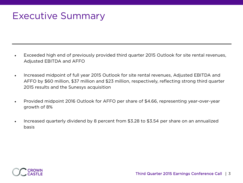#### Executive Summary

- Exceeded high end of previously provided third quarter 2015 Outlook for site rental revenues, Adjusted EBITDA and AFFO
- Increased midpoint of full year 2015 Outlook for site rental revenues, Adjusted EBITDA and AFFO by \$60 million, \$37 million and \$23 million, respectively, reflecting strong third quarter 2015 results and the Sunesys acquisition
- Provided midpoint 2016 Outlook for AFFO per share of \$4.66, representing year-over-year growth of 8%
- Increased quarterly dividend by 8 percent from \$3.28 to \$3.54 per share on an annualized basis

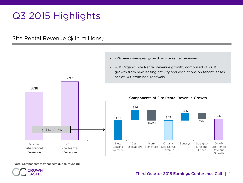### Q3 2015 Highlights

Site Rental Revenue (\$ in millions)



• ~7% year-over-year growth in site rental revenues

Note: Components may not sum due to rounding

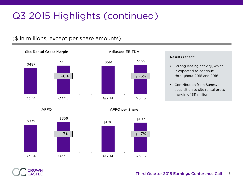### Q3 2015 Highlights (continued)

#### (\$ in millions, except per share amounts)



## \$514 \$529 Q3 '14 Q3 '15 **↑** ~3%

Adjusted EBITDA

#### Results reflect:

- Strong leasing activity, which is expected to continue throughout 2015 and 2016
- Contribution from Sunesys acquisition to site rental gross margin of \$11 million

AFFO



\$1.07

**↑** ~7%



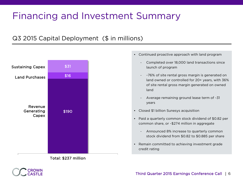### Financing and Investment Summary

#### Q3 2015 Capital Deployment (\$ in millions)





- Continued proactive approach with land program
	- Completed over 18,000 land transactions since launch of program
	- ~76% of site rental gross margin is generated on land owned or controlled for 20+ years, with 36% of site rental gross margin generated on owned land
	- Average remaining ground lease term of ~31 years
- Closed \$1 billion Sunesys acquisition
- Paid a quarterly common stock dividend of \$0.82 per common share, or ~\$274 million in aggregate
	- Announced 8% increase to quarterly common stock dividend from \$0.82 to \$0.885 per share
- Remain committed to achieving investment grade credit rating

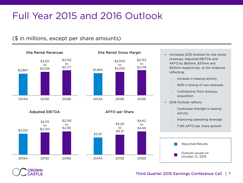### Full Year 2015 and 2016 Outlook

#### (\$ in millions, except per share amounts)



AFFO per Share

\$2,050 to \$2,055 \$2,153 to \$2,178



Adjusted EBITDA



- Increased 2015 Outlook for site rental revenues, Adjusted EBITDA and AFFO by \$60mm, \$37mm and \$23mm respectively, at the midpoint, reflecting:
	- Increase in leasing activity
	- Shift in timing of non-renewals
	- Contribution from Sunesys acquisition
- 2016 Outlook reflects:
	- Continued strength in leasing activity
	- Improving operating leverage
	- 7-9% AFFO per share growth



#### Third Quarter 2015 Earnings Conference Call | 7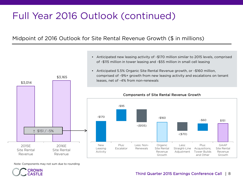### Full Year 2016 Outlook (continued)

Midpoint of 2016 Outlook for Site Rental Revenue Growth (\$ in millions)



Note: Components may not sum due to rounding



• Anticipated new leasing activity of ~\$170 million similar to 2015 levels, comprised